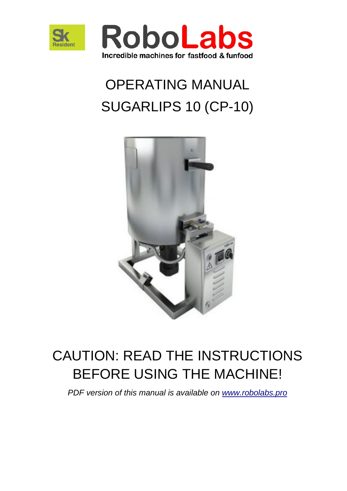



# OPERATING MANUAL SUGARLIPS 10 (CP-10)



# CAUTION: READ THE INSTRUCTIONS BEFORE USING THE MACHINE!

*PDF version of this manual is available on [www.robolabs.pro](http://www.robolabs.pro/)*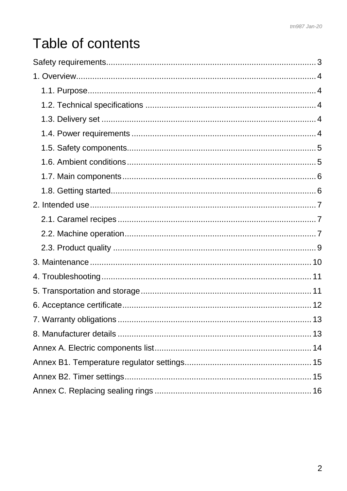# Table of contents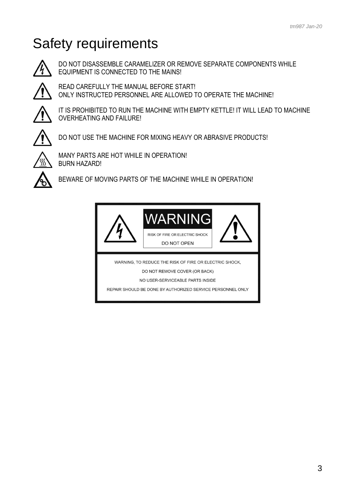# <span id="page-2-0"></span>Safety requirements



DO NOT DISASSEMBLE CARAMELIZER OR REMOVE SEPARATE COMPONENTS WHILE EQUIPMENT IS CONNECTED TO THE MAINS!



READ CAREFULLY THE MANUAL BEFORE START! ONLY INSTRUCTED PERSONNEL ARE ALLOWED TO OPERATE THE MACHINE!



IT IS PROHIBITED TO RUN THE MACHINE WITH EMPTY KETTLE! IT WILL LEAD TO MACHINE OVERHEATING AND FAILURE!



DO NOT USE THE MACHINE FOR MIXING HEAVY OR ABRASIVE PRODUCTS!



MANY PARTS ARE HOT WHILE IN OPERATION! BURN HAZARD!



BEWARE OF MOVING PARTS OF THE MACHINE WHILE IN OPERATION!

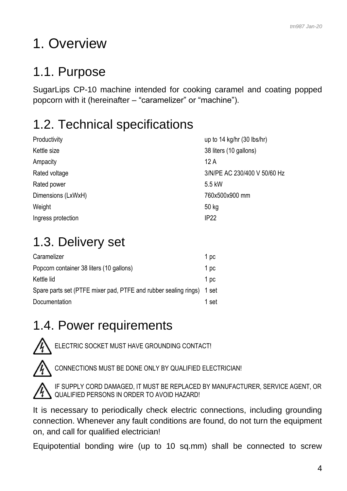# <span id="page-3-0"></span>1. Overview

## <span id="page-3-1"></span>1.1. Purpose

SugarLips CP-10 machine intended for cooking caramel and coating popped popcorn with it (hereinafter – "caramelizer" or "machine").

# <span id="page-3-2"></span>1.2. Technical specifications

| Productivity       | up to $14$ kg/hr $(30$ lbs/hr) |
|--------------------|--------------------------------|
| Kettle size        | 38 liters (10 gallons)         |
| Ampacity           | 12A                            |
| Rated voltage      | 3/N/PE AC 230/400 V 50/60 Hz   |
| Rated power        | 5.5 kW                         |
| Dimensions (LxWxH) | 760x500x900 mm                 |
| Weight             | 50 kg                          |
| Ingress protection | <b>IP22</b>                    |

# <span id="page-3-3"></span>1.3. Delivery set

| Caramelizer                                                           | 1 pc  |
|-----------------------------------------------------------------------|-------|
| Popcorn container 38 liters (10 gallons)                              | 1 pc  |
| Kettle lid                                                            | 1 pc  |
| Spare parts set (PTFE mixer pad, PTFE and rubber sealing rings) 1 set |       |
| Documentation                                                         | 1 set |
|                                                                       |       |

### <span id="page-3-4"></span>1.4. Power requirements





CONNECTIONS MUST BE DONE ONLY BY QUALIFIED ELECTRICIAN!



IF SUPPLY CORD DAMAGED, IT MUST BE REPLACED BY MANUFACTURER, SERVICE AGENT, OR QUALIFIED PERSONS IN ORDER TO AVOID HAZARD!

It is necessary to periodically check electric connections, including grounding connection. Whenever any fault conditions are found, do not turn the equipment on, and call for qualified electrician!

Equipotential bonding wire (up to 10 sq.mm) shall be connected to screw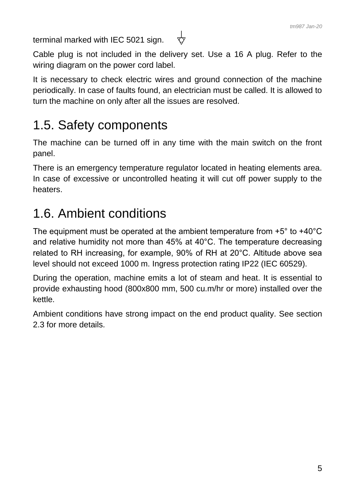terminal marked with IEC 5021 sign.

Cable plug is not included in the delivery set. Use a 16 A plug. Refer to the wiring diagram on the power cord label.

᠊ᡩ

It is necessary to check electric wires and ground connection of the machine periodically. In case of faults found, an electrician must be called. It is allowed to turn the machine on only after all the issues are resolved.

## <span id="page-4-0"></span>1.5. Safety components

The machine can be turned off in any time with the main switch on the front panel.

There is an emergency temperature regulator located in heating elements area. In case of excessive or uncontrolled heating it will cut off power supply to the heaters.

### <span id="page-4-1"></span>1.6. Ambient conditions

The equipment must be operated at the ambient temperature from +5° to +40°C and relative humidity not more than 45% at 40°C. The temperature decreasing related to RH increasing, for example, 90% of RH at 20°C. Altitude above sea level should not exceed 1000 m. Ingress protection rating IP22 (IEC 60529).

During the operation, machine emits a lot of steam and heat. It is essential to provide exhausting hood (800x800 mm, 500 cu.m/hr or more) installed over the kettle.

Ambient conditions have strong impact on the end product quality. See section 2.3 for more details.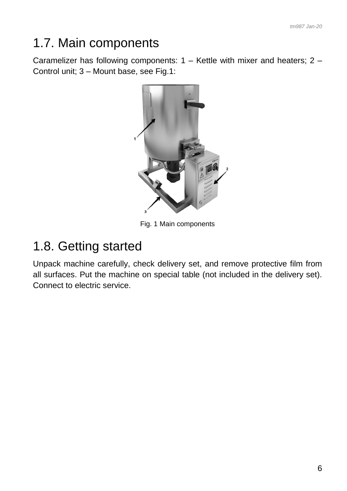## <span id="page-5-0"></span>1.7. Main components

Caramelizer has following components: 1 – Kettle with mixer and heaters; 2 – Control unit; 3 – Mount base, see Fig.1:



Fig. 1 Main components

### <span id="page-5-1"></span>1.8. Getting started

Unpack machine carefully, check delivery set, and remove protective film from all surfaces. Put the machine on special table (not included in the delivery set). Connect to electric service.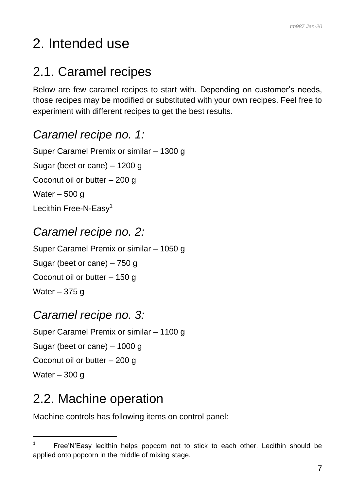# <span id="page-6-0"></span>2. Intended use

## <span id="page-6-1"></span>2.1. Caramel recipes

Below are few caramel recipes to start with. Depending on customer's needs, those recipes may be modified or substituted with your own recipes. Feel free to experiment with different recipes to get the best results.

### *Caramel recipe no. 1:*

Super Caramel Premix or similar – 1300 g Sugar (beet or cane) – 1200 g Coconut oil or butter – 200 g Water – 500 g Lecithin Free-N-Easy<sup>1</sup>

### *Caramel recipe no. 2:*

Super Caramel Premix or similar – 1050 g Sugar (beet or cane) – 750 g Coconut oil or butter – 150 g Water  $-375$  q

#### *Caramel recipe no. 3:*

Super Caramel Premix or similar – 1100 g Sugar (beet or cane) – 1000 g Coconut oil or butter – 200 g Water – 300 g

### <span id="page-6-2"></span>2.2. Machine operation

-

Machine controls has following items on control panel:

<sup>1</sup> Free'N'Easy lecithin helps popcorn not to stick to each other. Lecithin should be applied onto popcorn in the middle of mixing stage.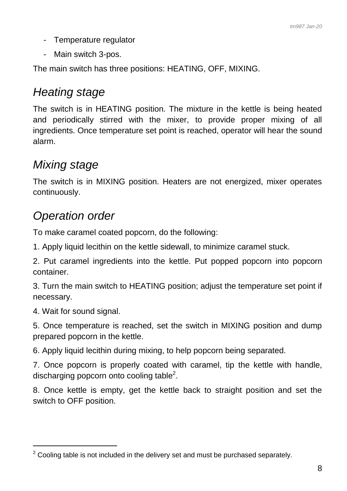- Temperature regulator
- Main switch 3-pos.

The main switch has three positions: HEATING, OFF, MIXING.

### *Heating stage*

The switch is in HEATING position. The mixture in the kettle is being heated and periodically stirred with the mixer, to provide proper mixing of all ingredients. Once temperature set point is reached, operator will hear the sound alarm.

### *Mixing stage*

The switch is in MIXING position. Heaters are not energized, mixer operates continuously.

### *Operation order*

To make caramel coated popcorn, do the following:

1. Apply liquid lecithin on the kettle sidewall, to minimize caramel stuck.

2. Put caramel ingredients into the kettle. Put popped popcorn into popcorn container.

3. Turn the main switch to HEATING position; adjust the temperature set point if necessary.

4. Wait for sound signal.

 $\overline{a}$ 

5. Once temperature is reached, set the switch in MIXING position and dump prepared popcorn in the kettle.

6. Apply liquid lecithin during mixing, to help popcorn being separated.

7. Once popcorn is properly coated with caramel, tip the kettle with handle, discharging popcorn onto cooling table<sup>2</sup>.

8. Once kettle is empty, get the kettle back to straight position and set the switch to OFF position.

 $2$  Cooling table is not included in the delivery set and must be purchased separately.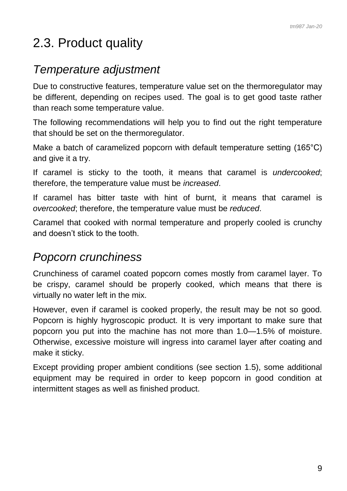### <span id="page-8-0"></span>2.3. Product quality

#### *Temperature adjustment*

Due to constructive features, temperature value set on the thermoregulator may be different, depending on recipes used. The goal is to get good taste rather than reach some temperature value.

The following recommendations will help you to find out the right temperature that should be set on the thermoregulator.

Make a batch of caramelized popcorn with default temperature setting (165°C) and give it a try.

If caramel is sticky to the tooth, it means that caramel is *undercooked*; therefore, the temperature value must be *increased*.

If caramel has bitter taste with hint of burnt, it means that caramel is *overcooked*; therefore, the temperature value must be *reduced*.

Caramel that cooked with normal temperature and properly cooled is crunchy and doesn't stick to the tooth.

#### *Popcorn crunchiness*

Crunchiness of caramel coated popcorn comes mostly from caramel layer. To be crispy, caramel should be properly cooked, which means that there is virtually no water left in the mix.

However, even if caramel is cooked properly, the result may be not so good. Popcorn is highly hygroscopic product. It is very important to make sure that popcorn you put into the machine has not more than 1.0—1.5% of moisture. Otherwise, excessive moisture will ingress into caramel layer after coating and make it sticky.

Except providing proper ambient conditions (see section 1.5), some additional equipment may be required in order to keep popcorn in good condition at intermittent stages as well as finished product.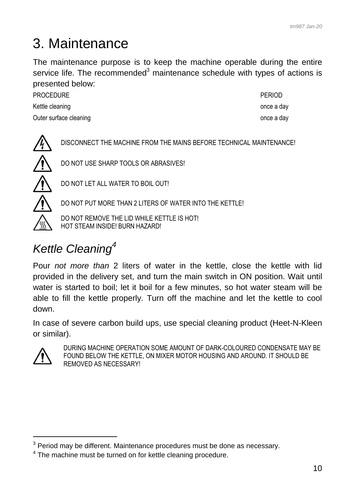# <span id="page-9-0"></span>3. Maintenance

The maintenance purpose is to keep the machine operable during the entire service life. The recommended<sup>3</sup> maintenance schedule with types of actions is presented below:

PROCEDURE **PROCEDURE** Kettle cleaning and the state of the state of the state of the state of the state once a day Outer surface cleaning and the state of the state of the state once a day

DISCONNECT THE MACHINE FROM THE MAINS BEFORE TECHNICAL MAINTENANCE!



DO NOT USE SHARP TOOLS OR ABRASIVES!



DO NOT LET ALL WATER TO BOIL OUT!

DO NOT PUT MORE THAN 2 LITERS OF WATER INTO THE KETTLE!

DO NOT REMOVE THE LID WHILE KETTLE IS HOT! HOT STEAM INSIDE! BURN HAZARD!

# *Kettle Cleaning<sup>4</sup>*

Pour *not more than* 2 liters of water in the kettle, close the kettle with lid provided in the delivery set, and turn the main switch in ON position. Wait until water is started to boil; let it boil for a few minutes, so hot water steam will be able to fill the kettle properly. Turn off the machine and let the kettle to cool down.

In case of severe carbon build ups, use special cleaning product (Heet-N-Kleen or similar).



-

DURING MACHINE OPERATION SOME AMOUNT OF DARK-COLOURED CONDENSATE MAY BE FOUND BELOW THE KETTLE, ON MIXER MOTOR HOUSING AND AROUND. IT SHOULD BE REMOVED AS NECESSARY!

 $3$  Period may be different. Maintenance procedures must be done as necessary.

 $4$  The machine must be turned on for kettle cleaning procedure.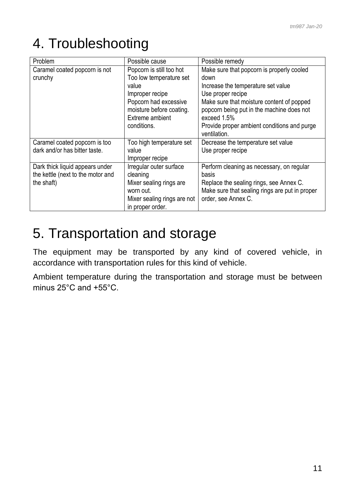# <span id="page-10-0"></span>4. Troubleshooting

| Problem                           | Possible cause              | Possible remedy                                             |
|-----------------------------------|-----------------------------|-------------------------------------------------------------|
| Caramel coated popcorn is not     | Popcorn is still too hot    | Make sure that popcorn is properly cooled                   |
| crunchy                           | Too low temperature set     | down                                                        |
|                                   | value                       | Increase the temperature set value                          |
|                                   | Improper recipe             | Use proper recipe                                           |
|                                   | Popcorn had excessive       | Make sure that moisture content of popped                   |
|                                   | moisture before coating.    | popcorn being put in the machine does not                   |
|                                   | Extreme ambient             | exceed 1.5%                                                 |
|                                   | conditions.                 | Provide proper ambient conditions and purge<br>ventilation. |
| Caramel coated popcorn is too     | Too high temperature set    | Decrease the temperature set value                          |
| dark and/or has bitter taste.     | value                       | Use proper recipe                                           |
|                                   | Improper recipe             |                                                             |
| Dark thick liquid appears under   | Irregular outer surface     | Perform cleaning as necessary, on regular                   |
| the kettle (next to the motor and | cleaning                    | basis                                                       |
| the shaft)                        | Mixer sealing rings are     | Replace the sealing rings, see Annex C.                     |
|                                   | worn out.                   | Make sure that sealing rings are put in proper              |
|                                   | Mixer sealing rings are not | order, see Annex C.                                         |
|                                   | in proper order.            |                                                             |

## <span id="page-10-1"></span>5. Transportation and storage

The equipment may be transported by any kind of covered vehicle, in accordance with transportation rules for this kind of vehicle.

Ambient temperature during the transportation and storage must be between minus 25°C and +55°C.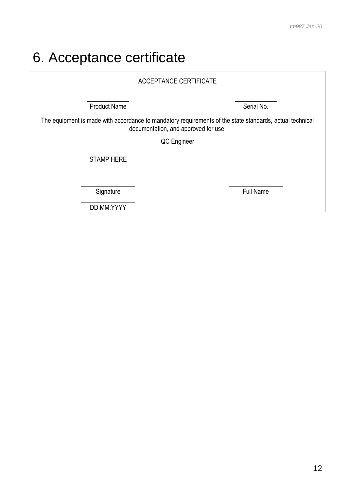# <span id="page-11-0"></span>6. Acceptance certificate

| <b>ACCEPTANCE CERTIFICATE</b>                                                                                                                    |                  |  |
|--------------------------------------------------------------------------------------------------------------------------------------------------|------------------|--|
| <b>Product Name</b>                                                                                                                              | Serial No.       |  |
| The equipment is made with accordance to mandatory requirements of the state standards, actual technical<br>documentation, and approved for use. |                  |  |
| QC Engineer                                                                                                                                      |                  |  |
| <b>STAMP HERE</b>                                                                                                                                |                  |  |
| Signature                                                                                                                                        | <b>Full Name</b> |  |

DD.MM.YYYY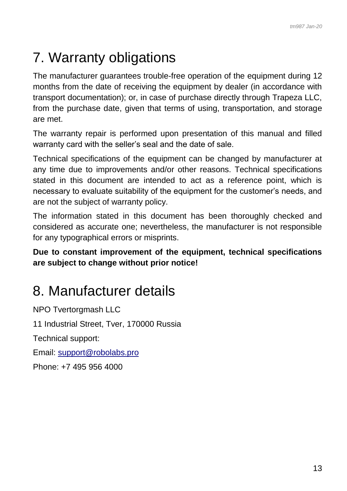# <span id="page-12-0"></span>7. Warranty obligations

The manufacturer guarantees trouble-free operation of the equipment during 12 months from the date of receiving the equipment by dealer (in accordance with transport documentation); or, in case of purchase directly through Trapeza LLC, from the purchase date, given that terms of using, transportation, and storage are met.

The warranty repair is performed upon presentation of this manual and filled warranty card with the seller's seal and the date of sale.

Technical specifications of the equipment can be changed by manufacturer at any time due to improvements and/or other reasons. Technical specifications stated in this document are intended to act as a reference point, which is necessary to evaluate suitability of the equipment for the customer's needs, and are not the subject of warranty policy.

The information stated in this document has been thoroughly checked and considered as accurate one; nevertheless, the manufacturer is not responsible for any typographical errors or misprints.

**Due to constant improvement of the equipment, technical specifications are subject to change without prior notice!**

### <span id="page-12-1"></span>8. Manufacturer details

NPO Tvertorgmash LLC 11 Industrial Street, Tver, 170000 Russia Technical support: Email: [support@robolabs.pro](mailto:support@robolabs.pro) Phone: +7 495 956 4000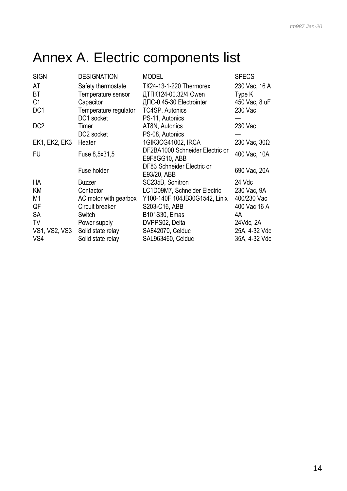# <span id="page-13-0"></span>Annex A. Electric components list

| <b>DESIGNATION</b>    | <b>MODEL</b>                              | <b>SPECS</b>                                                                                                                                 |
|-----------------------|-------------------------------------------|----------------------------------------------------------------------------------------------------------------------------------------------|
| Safety thermostate    | <b>TK24-13-1-220 Thermorex</b>            | 230 Vac, 16 A                                                                                                                                |
| Temperature sensor    | ДТПК124-00.32/4 Owen                      | Type K                                                                                                                                       |
| Capacitor             |                                           | 450 Vac, 8 uF                                                                                                                                |
| Temperature regulator | TC4SP, Autonics                           | 230 Vac                                                                                                                                      |
| DC1 socket            | PS-11, Autonics                           |                                                                                                                                              |
| Timer                 |                                           | 230 Vac                                                                                                                                      |
| DC2 socket            | PS-08, Autonics                           |                                                                                                                                              |
| Heater                |                                           | 230 Vac, $30\Omega$                                                                                                                          |
| Fuse 8,5x31,5         | E9F8GG10, ABB                             | 400 Vac, 10A                                                                                                                                 |
| Fuse holder           | DF83 Schneider Electric or<br>E93/20, ABB | 690 Vac, 20A                                                                                                                                 |
| <b>Buzzer</b>         | SC235B, Sonitron                          | 24 Vdc                                                                                                                                       |
| Contactor             | LC1D09M7, Schneider Electric              | 230 Vac, 9A                                                                                                                                  |
| AC motor with gearbox | Y100-140F 104JB30G1542, Linix             | 400/230 Vac                                                                                                                                  |
| Circuit breaker       | S203-C16, ABB                             | 400 Vac 16 A                                                                                                                                 |
| Switch                | B101S30, Emas                             | 4A                                                                                                                                           |
| Power supply          | DVPPS02, Delta                            | 24Vdc, 2A                                                                                                                                    |
|                       |                                           | 25A, 4-32 Vdc                                                                                                                                |
| Solid state relay     |                                           | 35A, 4-32 Vdc                                                                                                                                |
|                       | Solid state relay                         | ДПС-0,45-30 Electrointer<br>AT8N, Autonics<br>1GIK3CG41002, IRCA<br>DF2BA1000 Schneider Electric or<br>SA842070, Celduc<br>SAL963460, Celduc |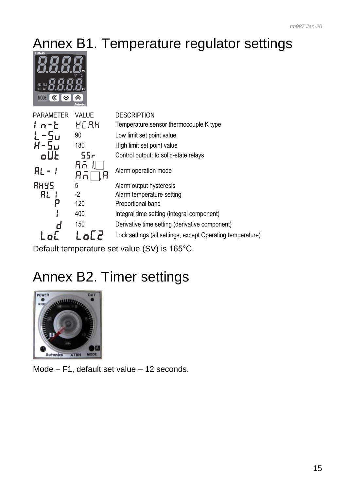# <span id="page-14-0"></span>Annex B1. Temperature regulator settings



| PARAMETER   | <b>VALUE</b>    | <b>DESCRIPTION</b>                                         |
|-------------|-----------------|------------------------------------------------------------|
| $1n-E$      | YC R.H          | Temperature sensor thermocouple K type                     |
| -5u<br>L    | 90              | Low limit set point value                                  |
|             | 180             | High limit set point value                                 |
| oUŁ         | 55 <sub>r</sub> | Control output: to solid-state relays                      |
| RL -        | Hп              | Alarm operation mode                                       |
| <b>RHYS</b> | 5               | Alarm output hysteresis                                    |
| ЯL          | $-2$            | Alarm temperature setting                                  |
|             | 120             | Proportional band                                          |
|             | 400             | Integral time setting (integral component)                 |
|             | 150             | Derivative time setting (derivative component)             |
|             |                 | Lock settings (all settings, except Operating temperature) |
|             |                 |                                                            |

<span id="page-14-1"></span>Default temperature set value (SV) is 165°С.

# Annex B2. Timer settings



Mode – F1, default set value – 12 seconds.